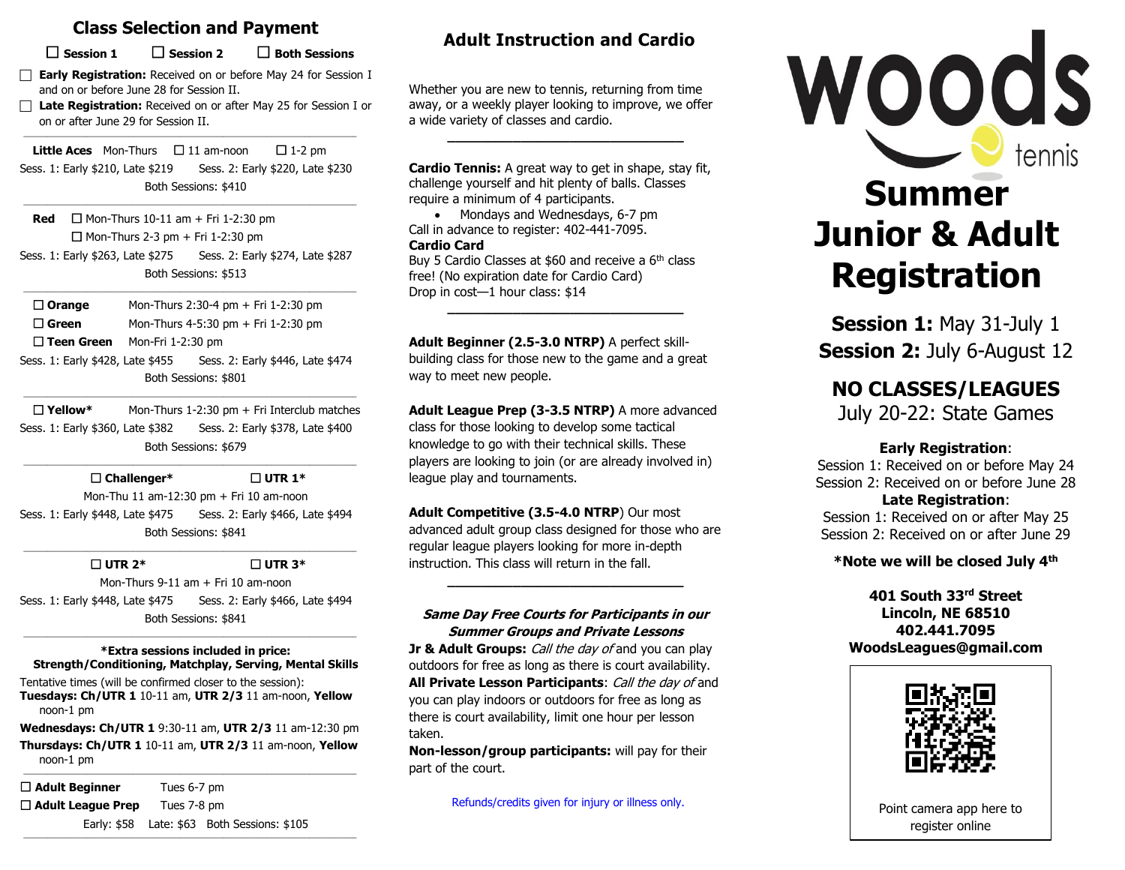## **Class Selection and Payment**

**Session 1 Session 2 Both Sessions**

**Early Registration:** Received on or before May 24 for Session I and on or before June 28 for Session II.

 **Late Registration:** Received on or after May 25 for Session I or on or after June 29 for Session II.

**Little Aces** Mon-Thurs  $\Box$  11 am-noon  $\Box$  1-2 pm Sess. 1: Early \$210, Late \$219 Sess. 2: Early \$220, Late \$230 Both Sessions: \$410

 $\_$  ,  $\_$  ,  $\_$  ,  $\_$  ,  $\_$  ,  $\_$  ,  $\_$  ,  $\_$  ,  $\_$  ,  $\_$  ,  $\_$  ,  $\_$  ,  $\_$  ,  $\_$  ,  $\_$  ,  $\_$  ,  $\_$  ,  $\_$  ,  $\_$  ,  $\_$  ,  $\_$  ,  $\_$  ,  $\_$  ,  $\_$  ,  $\_$  ,  $\_$  ,  $\_$  ,  $\_$  ,  $\_$  ,  $\_$  ,  $\_$  ,  $\_$  ,  $\_$  ,  $\_$  ,  $\_$  ,  $\_$  ,  $\_$  ,

 $\mathcal{L}_\text{max}$ 

 $\_$  ,  $\_$  ,  $\_$  ,  $\_$  ,  $\_$  ,  $\_$  ,  $\_$  ,  $\_$  ,  $\_$  ,  $\_$  ,  $\_$  ,  $\_$  ,  $\_$  ,  $\_$  ,  $\_$  ,  $\_$  ,  $\_$  ,  $\_$  ,  $\_$  ,  $\_$  ,  $\_$  ,  $\_$  ,  $\_$  ,  $\_$  ,  $\_$  ,  $\_$  ,  $\_$  ,  $\_$  ,  $\_$  ,  $\_$  ,  $\_$  ,  $\_$  ,  $\_$  ,  $\_$  ,  $\_$  ,  $\_$  ,  $\_$  ,

**Red**  $\Box$  Mon-Thurs 10-11 am + Fri 1-2:30 pm Mon-Thurs 2-3 pm + Fri 1-2:30 pm Sess. 1: Early \$263, Late \$275 Sess. 2: Early \$274, Late \$287 Both Sessions: \$513

 **Orange** Mon-Thurs 2:30-4 pm + Fri 1-2:30 pm □ Green Mon-Thurs 4-5:30 pm + Fri 1-2:30 pm **Teen Green** Mon-Fri 1-2:30 pm

Sess. 1: Early \$428, Late \$455 Sess. 2: Early \$446, Late \$474 Both Sessions: \$801  $\_$  ,  $\_$  ,  $\_$  ,  $\_$  ,  $\_$  ,  $\_$  ,  $\_$  ,  $\_$  ,  $\_$  ,  $\_$  ,  $\_$  ,  $\_$  ,  $\_$  ,  $\_$  ,  $\_$  ,  $\_$  ,  $\_$  ,  $\_$  ,  $\_$  ,  $\_$  ,  $\_$  ,  $\_$  ,  $\_$  ,  $\_$  ,  $\_$  ,  $\_$  ,  $\_$  ,  $\_$  ,  $\_$  ,  $\_$  ,  $\_$  ,  $\_$  ,  $\_$  ,  $\_$  ,  $\_$  ,  $\_$  ,  $\_$  ,

 **Yellow\*** Mon-Thurs 1-2:30 pm + Fri Interclub matches Sess. 1: Early \$360, Late \$382 Sess. 2: Early \$378, Late \$400 Both Sessions: \$679

 $\_$  ,  $\_$  ,  $\_$  ,  $\_$  ,  $\_$  ,  $\_$  ,  $\_$  ,  $\_$  ,  $\_$  ,  $\_$  ,  $\_$  ,  $\_$  ,  $\_$  ,  $\_$  ,  $\_$  ,  $\_$  ,  $\_$  ,  $\_$  ,  $\_$  ,  $\_$  ,  $\_$  ,  $\_$  ,  $\_$  ,  $\_$  ,  $\_$  ,  $\_$  ,  $\_$  ,  $\_$  ,  $\_$  ,  $\_$  ,  $\_$  ,  $\_$  ,  $\_$  ,  $\_$  ,  $\_$  ,  $\_$  ,  $\_$  ,

 **Challenger\* UTR 1\*** Mon-Thu 11 am-12:30 pm + Fri 10 am-noon Sess. 1: Early \$448, Late \$475 Sess. 2: Early \$466, Late \$494 Both Sessions: \$841

 $\_$  ,  $\_$  ,  $\_$  ,  $\_$  ,  $\_$  ,  $\_$  ,  $\_$  ,  $\_$  ,  $\_$  ,  $\_$  ,  $\_$  ,  $\_$  ,  $\_$  ,  $\_$  ,  $\_$  ,  $\_$  ,  $\_$  ,  $\_$  ,  $\_$  ,  $\_$  ,  $\_$  ,  $\_$  ,  $\_$  ,  $\_$  ,  $\_$  ,  $\_$  ,  $\_$  ,  $\_$  ,  $\_$  ,  $\_$  ,  $\_$  ,  $\_$  ,  $\_$  ,  $\_$  ,  $\_$  ,  $\_$  ,  $\_$  ,

 **UTR 2\* UTR 3\*** Mon-Thurs 9-11 am + Fri 10 am-noon Sess. 1: Early \$448, Late \$475 Sess. 2: Early \$466, Late \$494 Both Sessions: \$841

#### $\_$  ,  $\_$  ,  $\_$  ,  $\_$  ,  $\_$  ,  $\_$  ,  $\_$  ,  $\_$  ,  $\_$  ,  $\_$  ,  $\_$  ,  $\_$  ,  $\_$  ,  $\_$  ,  $\_$  ,  $\_$  ,  $\_$  ,  $\_$  ,  $\_$  ,  $\_$  ,  $\_$  ,  $\_$  ,  $\_$  ,  $\_$  ,  $\_$  ,  $\_$  ,  $\_$  ,  $\_$  ,  $\_$  ,  $\_$  ,  $\_$  ,  $\_$  ,  $\_$  ,  $\_$  ,  $\_$  ,  $\_$  ,  $\_$  , **\*Extra sessions included in price: Strength/Conditioning, Matchplay, Serving, Mental Skills**

Tentative times (will be confirmed closer to the session): **Tuesdays: Ch/UTR 1** 10-11 am, **UTR 2/3** 11 am-noon, **Yellow** noon-1 pm

**Wednesdays: Ch/UTR 1** 9:30-11 am, **UTR 2/3** 11 am-12:30 pm **Thursdays: Ch/UTR 1** 10-11 am, **UTR 2/3** 11 am-noon, **Yellow** noon-1 pm  $\_$  ,  $\_$  ,  $\_$  ,  $\_$  ,  $\_$  ,  $\_$  ,  $\_$  ,  $\_$  ,  $\_$  ,  $\_$  ,  $\_$  ,  $\_$  ,  $\_$  ,  $\_$  ,  $\_$  ,  $\_$  ,  $\_$  ,  $\_$  ,  $\_$  ,  $\_$  ,  $\_$  ,  $\_$  ,  $\_$  ,  $\_$  ,  $\_$  ,  $\_$  ,  $\_$  ,  $\_$  ,  $\_$  ,  $\_$  ,  $\_$  ,  $\_$  ,  $\_$  ,  $\_$  ,  $\_$  ,  $\_$  ,  $\_$  ,

 $\_$  ,  $\_$  ,  $\_$  ,  $\_$  ,  $\_$  ,  $\_$  ,  $\_$  ,  $\_$  ,  $\_$  ,  $\_$  ,  $\_$  ,  $\_$  ,  $\_$  ,  $\_$  ,  $\_$  ,  $\_$  ,  $\_$  ,  $\_$  ,  $\_$  ,  $\_$  ,  $\_$  ,  $\_$  ,  $\_$  ,  $\_$  ,  $\_$  ,  $\_$  ,  $\_$  ,  $\_$  ,  $\_$  ,  $\_$  ,  $\_$  ,  $\_$  ,  $\_$  ,  $\_$  ,  $\_$  ,  $\_$  ,  $\_$  ,

 **Adult Beginner** Tues 6-7 pm **Adult League Prep** Tues 7-8 pm Early: \$58 Late: \$63 Both Sessions: \$105

## **Adult Instruction and Cardio**

Whether you are new to tennis, returning from time away, or a weekly player looking to improve, we offer a wide variety of classes and cardio.

**\_\_\_\_\_\_\_\_\_\_\_\_\_\_\_\_\_\_\_\_\_\_\_\_\_\_\_\_\_**

**Cardio Tennis:** A great way to get in shape, stay fit, challenge yourself and hit plenty of balls. Classes require a minimum of 4 participants.

• Mondays and Wednesdays, 6-7 pm Call in advance to register: 402-441-7095. **Cardio Card**

Buy 5 Cardio Classes at \$60 and receive a 6<sup>th</sup> class free! (No expiration date for Cardio Card) Drop in cost—1 hour class: \$14

**\_\_\_\_\_\_\_\_\_\_\_\_\_\_\_\_\_\_\_\_\_\_\_\_\_\_\_\_\_**

**Adult Beginner (2.5-3.0 NTRP)** A perfect skill-

building class for those new to the game and a great way to meet new people.

**Adult League Prep (3-3.5 NTRP)** A more advanced class for those looking to develop some tactical knowledge to go with their technical skills. These players are looking to join (or are already involved in) league play and tournaments.

**Adult Competitive (3.5-4.0 NTRP**) Our most advanced adult group class designed for those who are regular league players looking for more in-depth instruction. This class will return in the fall.

### **Same Day Free Courts for Participants in our Summer Groups and Private Lessons**

**\_\_\_\_\_\_\_\_\_\_\_\_\_\_\_\_\_\_\_\_\_\_\_\_\_\_\_\_\_**

**Jr & Adult Groups:** Call the day of and you can play outdoors for free as long as there is court availability. **All Private Lesson Participants**: Call the day of and you can play indoors or outdoors for free as long as there is court availability, limit one hour per lesson taken.

**Non-lesson/group participants:** will pay for their part of the court.

Refunds/credits given for injury or illness only.



**Session 1:** May 31-July 1 **Session 2:** July 6-August 12

# **NO CLASSES/LEAGUES**

July 20-22: State Games

### **Early Registration**:

Session 1: Received on or before May 24 Session 2: Received on or before June 28

## **Late Registration**:

Session 1: Received on or after May 25 Session 2: Received on or after June 29

## **\*Note we will be closed July 4th**

**401 South 33rd Street Lincoln, NE 68510 402.441.7095 WoodsLeagues@gmail.com**



Point camera app here to register online